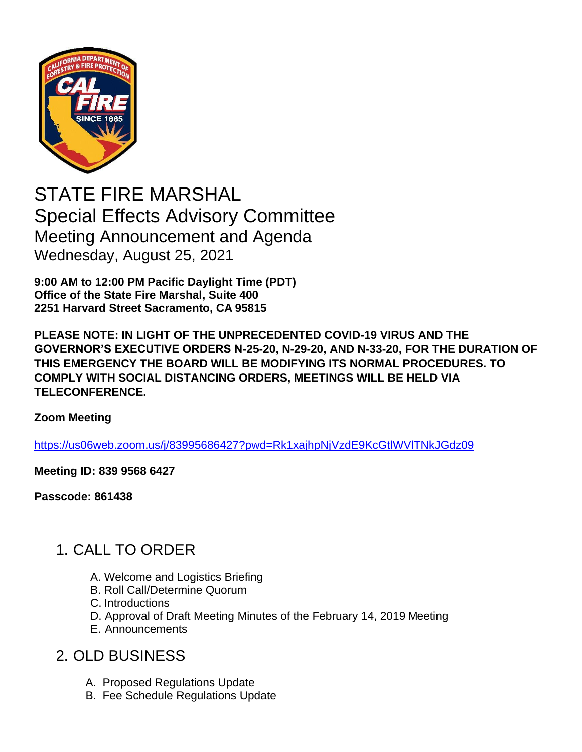

STATE FIRE MARSHAL Special Effects Advisory Committee Meeting Announcement and Agenda Wednesday, August 25, 2021

**9:00 AM to 12:00 PM Pacific Daylight Time (PDT) Office of the State Fire Marshal, Suite 400 2251 Harvard Street Sacramento, CA 95815**

**PLEASE NOTE: IN LIGHT OF THE UNPRECEDENTED COVID-19 VIRUS AND THE GOVERNOR'S EXECUTIVE ORDERS N-25-20, N-29-20, AND N-33-20, FOR THE DURATION OF THIS EMERGENCY THE BOARD WILL BE MODIFYING ITS NORMAL PROCEDURES. TO COMPLY WITH SOCIAL DISTANCING ORDERS, MEETINGS WILL BE HELD VIA TELECONFERENCE.**

#### **Zoom Meeting**

[https://us06web.zoom.us/j/83995686427?pwd=Rk1xajhpNjVzdE9KcGtlWVlTNkJGdz09](https://gcc02.safelinks.protection.outlook.com/?url=https%3A%2F%2Fus06web.zoom.us%2Fj%2F83995686427%3Fpwd%3DRk1xajhpNjVzdE9KcGtlWVlTNkJGdz09&data=04%7C01%7CVijay.Mepani%40fire.ca.gov%7C05ac3bd738d74e75399508d957994f76%7C447a4ca05405454dad68c98a520261f8%7C1%7C0%7C637637138269665881%7CUnknown%7CTWFpbGZsb3d8eyJWIjoiMC4wLjAwMDAiLCJQIjoiV2luMzIiLCJBTiI6Ik1haWwiLCJXVCI6Mn0%3D%7C1000&sdata=9K5J1xEZKUyqPw5jdaC%2BvSpzYGqmiECAyiTlkdSsAF4%3D&reserved=0)

**Meeting ID: 839 9568 6427** 

**Passcode: 861438**

### 1. CALL TO ORDER

- A. Welcome and Logistics Briefing
- B. Roll Call/Determine Quorum
- C. Introductions
- D. Approval of Draft Meeting Minutes of the February 14, 2019 Meeting
- E. Announcements

### 2. OLD BUSINESS

- A. Proposed Regulations Update
- B. Fee Schedule Regulations Update